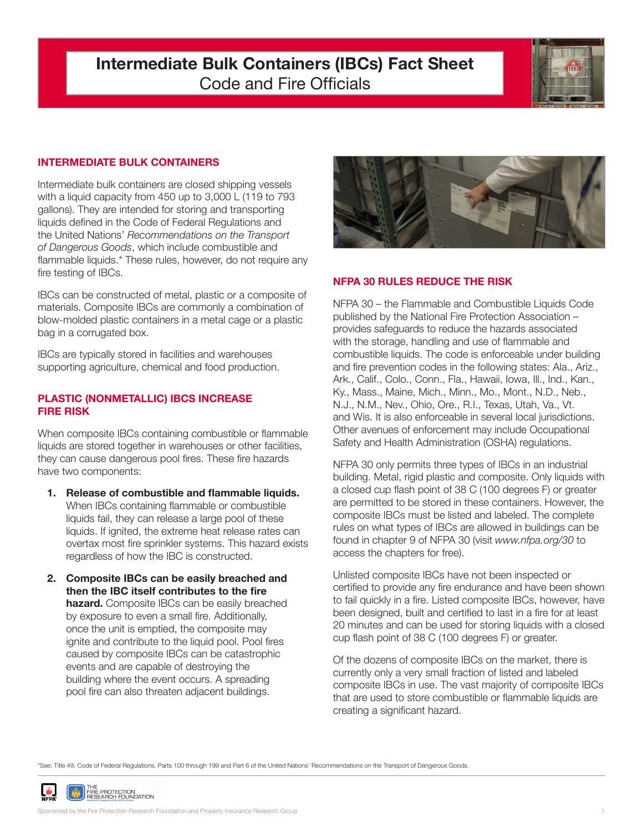# **Intermediate Bulk Containers (IBCs) Fact Sheet** Code and Fire Officials



### **INTERMEDIATE BULK CONTAINERS**

Intermediate bulk containers are closed shipping vessels with a liquid capacity from 450 up to 3,000 L (119 to 793 gallons). They are intended for storing and transporting liquids defined in the Code of Federal Regulations and the United Nations' *Recommendations on the Transport of Dangerous Goods*, which include combustible and flammable liquids.\* These rules, however, do not require any fire testing of IBCs.

IBCs can be constructed of metal, plastic or a composite of materials. Composite IBCs are commonly a combination of blow-molded plastic containers in a metal cage or a plastic bag in a corrugated box.

IBCs are typically stored in facilities and warehouses supporting agriculture, chemical and food production.

#### **PLASTIC (NONMETALLIC) IBCS INCREASE FIRE RISK**

When composite IBCs containing combustible or flammable liquids are stored together in warehouses or other facilities, they can cause dangerous pool fires. These fire hazards have two components:

- **1. Release of combustible and flammable liquids.** When IBCs containing flammable or combustible liquids fail, they can release a large pool of these liquids. If ignited, the extreme heat release rates can overtax most fire sprinkler systems. This hazard exists regardless of how the IBC is constructed.
- **2. Composite IBCs can be easily breached and then the IBC itself contributes to the fire hazard.** Composite IBCs can be easily breached by exposure to even a small fire. Additionally, once the unit is emptied, the composite may ignite and contribute to the liquid pool. Pool fires caused by composite IBCs can be catastrophic events and are capable of destroying the building where the event occurs. A spreading pool fire can also threaten adjacent buildings.



### **NFPA 30 RULES REDUCE THE RISK**

NFPA 30 – the Flammable and Combustible Liquids Code published by the National Fire Protection Association – provides safeguards to reduce the hazards associated with the storage, handling and use of flammable and combustible liquids. The code is enforceable under building and fire prevention codes in the following states: Ala., Ariz., Ark., Calif., Colo., Conn., Fla., Hawaii, Iowa, Ill., Ind., Kan., Ky., Mass., Maine, Mich., Minn., Mo., Mont., N.D., Neb., N.J., N.M., Nev., Ohio, Ore., R.I., Texas, Utah, Va., Vt. and Wis. It is also enforceable in several local jurisdictions. Other avenues of enforcement may include Occupational Safety and Health Administration (OSHA) regulations.

NFPA 30 only permits three types of IBCs in an industrial building. Metal, rigid plastic and composite. Only liquids with a closed cup flash point of 38 C (100 degrees F) or greater are permitted to be stored in these containers. However, the composite IBCs must be listed and labeled. The complete rules on what types of IBCs are allowed in buildings can be found in chapter 9 of NFPA 30 (visit *www.nfpa.org/30* to access the chapters for free).

Unlisted composite IBCs have not been inspected or certified to provide any fire endurance and have been shown to fail quickly in a fire. Listed composite IBCs, however, have been designed, built and certified to last in a fire for at least 20 minutes and can be used for storing liquids with a closed cup flash point of 38 C (100 degrees F) or greater.

Of the dozens of composite IBCs on the market, there is currently only a very small fraction of listed and labeled composite IBCs in use. The vast majority of composite IBCs that are used to store combustible or flammable liquids are creating a significant hazard.

\*See: Title 49, Code of Federal Regulations, Parts 100 through 199 and Part 6 of the United Nations' Recommendations on the Transport of Dangerous Goods.